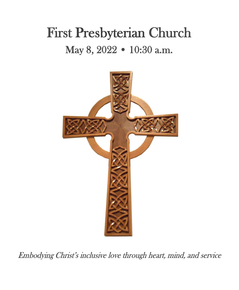# First Presbyterian Church May 8, 2022 • 10:30 a.m.



Embodying Christ's inclusive love through heart, mind, and service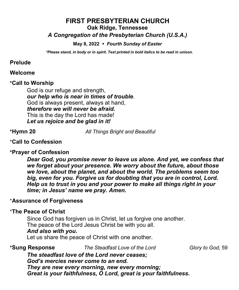## **FIRST PRESBYTERIAN CHURCH Oak Ridge, Tennessee** *A Congregation of the Presbyterian Church (U.S.A.)*

**May 8, 2022** *Fourth Sunday of Easter*

*\*Please stand, in body or in spirit. Text printed in bold italics to be read in unison.*

#### **Prelude**

#### **Welcome**

#### **\*Call to Worship**

God is our refuge and strength, *our help who is near in times of trouble*. God is always present, always at hand, *therefore we will never be afraid.* This is the day the Lord has made! *Let us rejoice and be glad in it!*

**\*Hymn 20** *All Things Bright and Beautiful* 

### \***Call to Confession**

### **\*Prayer of Confession**

*Dear God, you promise never to leave us alone. And yet, we confess that we forget about your presence. We worry about the future, about those we love, about the planet, and about the world. The problems seem too big, even for you. Forgive us for doubting that you are in control, Lord. Help us to trust in you and your power to make all things right in your time; in Jesus' name we pray. Amen.*

### \***Assurance of Forgiveness**

### \***The Peace of Christ**

Since God has forgiven us in Christ, let us forgive one another. The peace of the Lord Jesus Christ be with you all. *And also with you***.** Let us share the peace of Christ with one another.

**\*Sung Response** *The Steadfast Love of the Lord Glory to God,* 59

*The steadfast love of the Lord never ceases; God's mercies never come to an end. They are new every morning, new every morning; Great is your faithfulness, O Lord, great is your faithfulness.*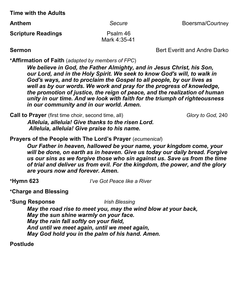**Time with the Adults**

**Anthem** Secure Secure Boersma/Courtney

**Scripture Readings** Psalm 46 Mark 4:35-41

**Sermon Bert** Everitt and Andre Darko

**\*Affirmation of Faith** (*adapted by members of FPC*)

*We believe in God, the Father Almighty, and in Jesus Christ, his Son, our Lord, and in the Holy Spirit. We seek to know God's will, to walk in God's ways, and to proclaim the Gospel to all people, by our lives as well as by our words. We work and pray for the progress of knowledge, the promotion of justice, the reign of peace, and the realization of human unity in our time. And we look with faith for the triumph of righteousness in our community and in our world. Amen.*

**Call to Prayer** (first time choir, second time, all) *Glory to God, 240* 

 *Alleluia, alleluia! Give thanks to the risen Lord. Alleluia, alleluia! Give praise to his name.*

**Prayers of the People with The Lord's Prayer** (*ecumenical*)

*Our Father in heaven, hallowed be your name, your kingdom come, your will be done, on earth as in heaven. Give us today our daily bread. Forgive us our sins as we forgive those who sin against us. Save us from the time of trial and deliver us from evil. For the kingdom, the power, and the glory are yours now and forever. Amen.*

**\*Hymn 623** *I've Got Peace like a River*

**\*Charge and Blessing**

**\*Sung Response** *Irish Blessing* 

*May the road rise to meet you, may the wind blow at your back, May the sun shine warmly on your face. May the rain fall softly on your field, And until we meet again, until we meet again, May God hold you in the palm of his hand. Amen.*

**Postlude**